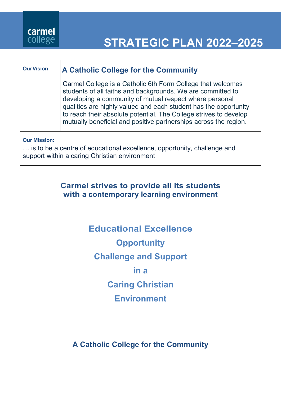

# **STRATEGIC PLAN 2022–2025**

## **OurVision A Catholic College for the Community**

Carmel College is a Catholic 6th Form College that welcomes students of all faiths and backgrounds. We are committed to developing a community of mutual respect where personal qualities are highly valued and each student has the opportunity to reach their absolute potential. The College strives to develop mutually beneficial and positive partnerships across the region.

**Our Mission:**

… is to be a centre of educational excellence, opportunity, challenge and support within a caring Christian environment

## **Carmel strives to provide all its students with a contemporary learning environment**

**Educational Excellence Opportunity Challenge and Support in a Caring Christian Environment**

**A Catholic College for the Community**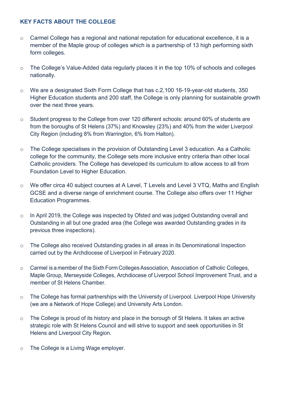#### **KEY FACTS ABOUT THE COLLEGE**

- o Carmel College has a regional and national reputation for educational excellence, it is a member of the Maple group of colleges which is a partnership of 13 high performing sixth form colleges.
- o The College's Value-Added data regularly places it in the top 10% of schools and colleges nationally.
- o We are a designated Sixth Form College that has c.2,100 16-19-year-old students, 350 Higher Education students and 200 staff, the College is only planning for sustainable growth over the next three years.
- o Student progress to the College from over 120 different schools: around 60% of students are from the boroughs of St Helens (37%) and Knowsley (23%) and 40% from the wider Liverpool City Region (including 8% from Warrington, 6% from Halton).
- o The College specialises in the provision of Outstanding Level 3 education. As a Catholic college for the community, the College sets more inclusive entry criteria than other local Catholic providers. The College has developed its curriculum to allow access to all from Foundation Level to Higher Education.
- o We offer circa 40 subject courses at A Level, T Levels and Level 3 VTQ, Maths and English GCSE and a diverse range of enrichment course. The College also offers over 11 Higher Education Programmes.
- o In April 2019, the College was inspected by Ofsted and was judged Outstanding overall and Outstanding in all but one graded area (the College was awarded Outstanding grades in its previous three inspections).
- o The College also received Outstanding grades in all areas in its Denominational Inspection carried out by the Archdiocese of Liverpool in February 2020.
- o Carmel is a member of theSixth Form Colleges Association, Association of Catholic Colleges, Maple Group, Merseyside Colleges, Archdiocese of Liverpool School Improvement Trust, and a member of St Helens Chamber.
- o The College has formal partnerships with the University of Liverpool. Liverpool Hope University (we are a Network of Hope College) and University Arts London.
- o The College is proud of its history and place in the borough of St Helens. It takes an active strategic role with St Helens Council and will strive to support and seek opportunities in St Helens and Liverpool City Region.
- o The College is a Living Wage employer.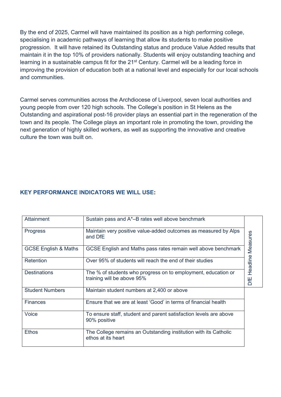By the end of 2025, Carmel will have maintained its position as a high performing college, specialising in academic pathways of learning that allow its students to make positive progression. It will have retained its Outstanding status and produce Value Added results that maintain it in the top 10% of providers nationally. Students will enjoy outstanding teaching and learning in a sustainable campus fit for the 21<sup>st</sup> Century. Carmel will be a leading force in improving the provision of education both at a national level and especially for our local schools and communities.

Carmel serves communities across the Archdiocese of Liverpool, seven local authorities and young people from over 120 high schools. The College's position in St Helens as the Outstanding and aspirational post-16 provider plays an essential part in the regeneration of the town and its people. The College plays an important role in promoting the town, providing the next generation of highly skilled workers, as well as supporting the innovative and creative culture the town was built on.

#### **KEY PERFORMANCE INDICATORS WE WILL USE:**

| Attainment                      | Sustain pass and A*-B rates well above benchmark                                            |          |
|---------------------------------|---------------------------------------------------------------------------------------------|----------|
| Progress                        | Maintain very positive value-added outcomes as measured by Alps<br>and DfE                  | Measures |
| <b>GCSE English &amp; Maths</b> | GCSE English and Maths pass rates remain well above benchmark                               |          |
| Retention                       | Over 95% of students will reach the end of their studies                                    | Headline |
| <b>Destinations</b>             | The % of students who progress on to employment, education or<br>training will be above 95% | DfE      |
| <b>Student Numbers</b>          | Maintain student numbers at 2,400 or above                                                  |          |
| <b>Finances</b>                 | Ensure that we are at least 'Good' in terms of financial health                             |          |
| Voice                           | To ensure staff, student and parent satisfaction levels are above<br>90% positive           |          |
| <b>Ethos</b>                    | The College remains an Outstanding institution with its Catholic<br>ethos at its heart      |          |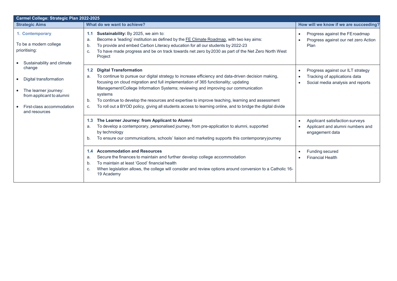| Carmel College: Strategic Plan 2022-2025                                                                                                                     |                                                                                                                                                                                                                                                                                                                                                                                                                                                                                                                                                                     |                                                                                                         |
|--------------------------------------------------------------------------------------------------------------------------------------------------------------|---------------------------------------------------------------------------------------------------------------------------------------------------------------------------------------------------------------------------------------------------------------------------------------------------------------------------------------------------------------------------------------------------------------------------------------------------------------------------------------------------------------------------------------------------------------------|---------------------------------------------------------------------------------------------------------|
| <b>Strategic Aims</b>                                                                                                                                        | What do we want to achieve?                                                                                                                                                                                                                                                                                                                                                                                                                                                                                                                                         | How will we know if we are succeeding?                                                                  |
| 1. Contemporary<br>To be a modern college<br>prioritising:<br>Sustainability and climate                                                                     | Sustainability: By 2025, we aim to:<br>1.1<br>Become a 'leading' institution as defined by the FE Climate Roadmap, with two key aims:<br>a.<br>To provide and embed Carbon Literacy education for all our students by 2022-23<br>b.<br>To have made progress and be on track towards net zero by 2030 as part of the Net Zero North West<br>c.<br>Project                                                                                                                                                                                                           | Progress against the FE roadmap<br>Progress against our net zero Action<br>Plan                         |
| change<br>Digital transformation<br>$\bullet$<br>The learner journey:<br>$\bullet$<br>from applicant to alumni<br>First-class accommodation<br>and resources | <b>Digital Transformation</b><br>1.2<br>To continue to pursue our digital strategy to increase efficiency and data-driven decision making,<br>a.<br>focusing on cloud migration and full implementation of 365 functionality; updating<br>Management/College Information Systems; reviewing and improving our communication<br>systems<br>To continue to develop the resources and expertise to improve teaching, learning and assessment<br>b.<br>To roll out a BYOD policy, giving all students access to learning online, and to bridge the digital divide<br>C. | Progress against our ILT strategy<br>Tracking of applications data<br>Social media analysis and reports |
|                                                                                                                                                              | The Learner Journey: from Applicant to Alumni<br>1.3<br>To develop a contemporary, personalised journey, from pre-application to alumni, supported<br>а.<br>by technology<br>To ensure our communications, schools' liaison and marketing supports this contemporary journey<br>b.                                                                                                                                                                                                                                                                                  | Applicant satisfaction surveys<br>Applicant and alumni numbers and<br>engagement data                   |
|                                                                                                                                                              | <b>Accommodation and Resources</b><br>1.4<br>Secure the finances to maintain and further develop college accommodation<br>a.<br>To maintain at least 'Good' financial health<br>b.<br>When legislation allows, the college will consider and review options around conversion to a Catholic 16-<br>C.<br>19 Academy                                                                                                                                                                                                                                                 | Funding secured<br><b>Financial Health</b>                                                              |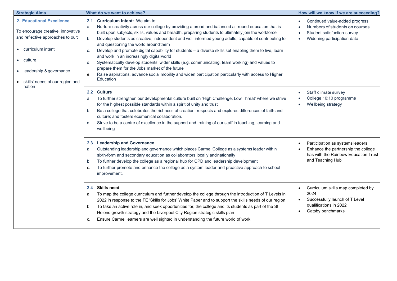| <b>Strategic Aims</b>                                                                                                                                                                                                | What do we want to achieve?                                                                                                                                                                                                                                                                                                                                                                                                                                                                                                                                                                                                                                                                                                                                                                                                                                          | How will we know if we are succeeding?                                                                                                                                |
|----------------------------------------------------------------------------------------------------------------------------------------------------------------------------------------------------------------------|----------------------------------------------------------------------------------------------------------------------------------------------------------------------------------------------------------------------------------------------------------------------------------------------------------------------------------------------------------------------------------------------------------------------------------------------------------------------------------------------------------------------------------------------------------------------------------------------------------------------------------------------------------------------------------------------------------------------------------------------------------------------------------------------------------------------------------------------------------------------|-----------------------------------------------------------------------------------------------------------------------------------------------------------------------|
| <b>2. Educational Excellence</b><br>To encourage creative, innovative<br>and reflective approaches to our:<br>curriculum intent<br>• culture<br>leadership & governance<br>skills' needs of our region and<br>nation | Curriculum Intent: We aim to:<br>2.1<br>Nurture creativity across our college by providing a broad and balanced all-round education that is<br>a.<br>built upon subjects, skills, values and breadth, preparing students to ultimately join the workforce<br>Develop students as creative, independent and well-informed young adults, capable of contributing to<br>b.<br>and questioning the world around them<br>Develop and promote digital capability for students - a diverse skills set enabling them to live, learn<br>c.<br>and work in an increasingly digital world<br>Systematically develop students' wider skills (e.g. communicating, team working) and values to<br>d.<br>prepare them for the Jobs market of the future<br>Raise aspirations, advance social mobility and widen participation particularly with access to Higher<br>е.<br>Education | Continued value-added progress<br>Numbers of students on courses<br>$\bullet$<br>Student satisfaction survey<br>$\bullet$<br>Widening participation data<br>$\bullet$ |
|                                                                                                                                                                                                                      | <b>Culture</b><br>$2.2\phantom{0}$<br>To further strengthen our developmental culture built on 'High Challenge, Low Threat' where we strive<br>a.<br>for the highest possible standards within a spirit of unity and trust<br>Be a college that celebrates the richness of creation; respects and explores differences of faith and<br>b.<br>culture; and fosters ecumenical collaboration.<br>Strive to be a centre of excellence in the support and training of our staff in teaching, learning and<br>c.<br>wellbeing                                                                                                                                                                                                                                                                                                                                             | Staff climate survey<br>$\bullet$<br>College 10:10 programme<br>$\bullet$<br>Wellbeing strategy<br>$\bullet$                                                          |
|                                                                                                                                                                                                                      | 2.3 Leadership and Governance<br>Outstanding leadership and governance which places Carmel College as a systems leader within<br>a.<br>sixth-form and secondary education as collaborators locally and nationally<br>To further develop the college as a regional hub for CPD and leadership development<br>b.<br>To further promote and enhance the college as a system leader and proactive approach to school<br>c.<br>improvement.                                                                                                                                                                                                                                                                                                                                                                                                                               | Participation as systems leaders<br>Enhance the partnership the college<br>has with the Rainbow Education Trust<br>and Teaching Hub                                   |
|                                                                                                                                                                                                                      | <b>Skills need</b><br>2.4<br>To map the college curriculum and further develop the college through the introduction of T Levels in<br>а.<br>2022 in response to the FE 'Skills for Jobs' White Paper and to support the skills needs of our region<br>To take an active role in, and seek opportunities for, the college and its students as part of the St<br>b.<br>Helens growth strategy and the Liverpool City Region strategic skills plan<br>Ensure Carmel learners are well sighted in understanding the future world of work<br>c.                                                                                                                                                                                                                                                                                                                           | Curriculum skills map completed by<br>2024<br>Successfully launch of T Level<br>$\bullet$<br>qualifications in 2022<br>Gatsby benchmarks<br>$\bullet$                 |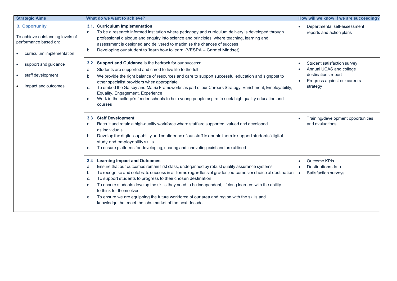| <b>Strategic Aims</b>                                                                                    | What do we want to achieve?                                                                                                                                                                                                                                                                                                                                                                                                                                                                                                                                                                                                                    | How will we know if we are succeeding?                                                                                                                           |
|----------------------------------------------------------------------------------------------------------|------------------------------------------------------------------------------------------------------------------------------------------------------------------------------------------------------------------------------------------------------------------------------------------------------------------------------------------------------------------------------------------------------------------------------------------------------------------------------------------------------------------------------------------------------------------------------------------------------------------------------------------------|------------------------------------------------------------------------------------------------------------------------------------------------------------------|
| 3. Opportunity<br>To achieve outstanding levels of<br>performance based on:<br>curriculum implementation | 3.1. Curriculum Implementation<br>To be a research informed institution where pedagogy and curriculum delivery is developed through<br>a.<br>professional dialogue and enquiry into science and principles; where teaching, learning and<br>assessment is designed and delivered to maximise the chances of success<br>Developing our student to 'learn how to learn' (VESPA - Carmel Mindset)<br>b.                                                                                                                                                                                                                                           | Departmental self-assessment<br>$\bullet$<br>reports and action plans                                                                                            |
| support and guidance<br>staff development<br>impact and outcomes                                         | Support and Guidance is the bedrock for our success:<br>$3.2^{\circ}$<br>Students are supported and cared to live life to the full<br>a.<br>We provide the right balance of resources and care to support successful education and signpost to<br>b.<br>other specialist providers when appropriate<br>To embed the Gatsby and Matrix Frameworks as part of our Careers Strategy: Enrichment, Employability,<br>C.<br>Equality, Engagement, Experience<br>Work in the college's feeder schools to help young people aspire to seek high quality education and<br>d.<br>courses                                                                 | Student satisfaction survey<br>$\bullet$<br>Annual UCAS and college<br>$\bullet$<br>destinations report<br>Progress against our careers<br>$\bullet$<br>strategy |
|                                                                                                          | <b>Staff Development</b><br>3.3<br>Recruit and retain a high-quality workforce where staff are supported, valued and developed<br>a.<br>as individuals<br>Develop the digital capability and confidence of our staff to enable them to support students' digital<br>b.<br>study and employability skills<br>To ensure platforms for developing, sharing and innovating exist and are utilised<br>C.                                                                                                                                                                                                                                            | Training/development opportunities<br>and evaluations                                                                                                            |
|                                                                                                          | <b>Learning Impact and Outcomes</b><br>3.4<br>Ensure that our outcomes remain first class, underpinned by robust quality assurance systems<br>a.<br>To recognise and celebrate success in all forms regardless of grades, outcomes or choice of destination<br>b.<br>To support students to progress to their chosen destination<br>C.<br>To ensure students develop the skills they need to be independent, lifelong learners with the ability<br>d.<br>to think for themselves<br>To ensure we are equipping the future workforce of our area and region with the skills and<br>е.<br>knowledge that meet the jobs market of the next decade | Outcome KPIs<br>Destinations data<br>$\bullet$<br>Satisfaction surveys<br>$\bullet$                                                                              |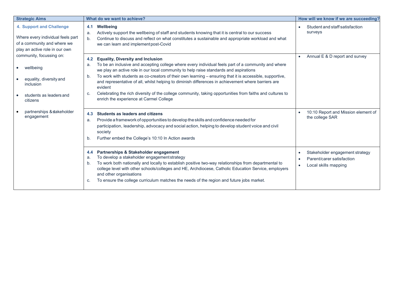| <b>Strategic Aims</b>                                                                                                                                                                                                                                         | What do we want to achieve?                                                                                                                                                                                                                                                                                                                                                                                                                                                                                                                                                                                                                             | How will we know if we are succeeding?                                                                         |
|---------------------------------------------------------------------------------------------------------------------------------------------------------------------------------------------------------------------------------------------------------------|---------------------------------------------------------------------------------------------------------------------------------------------------------------------------------------------------------------------------------------------------------------------------------------------------------------------------------------------------------------------------------------------------------------------------------------------------------------------------------------------------------------------------------------------------------------------------------------------------------------------------------------------------------|----------------------------------------------------------------------------------------------------------------|
| <b>4. Support and Challenge</b><br>Where every individual feels part<br>of a community and where we<br>play an active role in our own<br>community, focussing on:<br>wellbeing<br>equality, diversity and<br>inclusion<br>students as leaders and<br>citizens | Wellbeing<br>4.1<br>Actively support the wellbeing of staff and students knowing that it is central to our success<br>a.<br>Continue to discuss and reflect on what constitutes a sustainable and appropriate workload and what<br>b.<br>we can learn and implement post-Covid                                                                                                                                                                                                                                                                                                                                                                          | Student and staff satisfaction<br>surveys                                                                      |
|                                                                                                                                                                                                                                                               | <b>Equality, Diversity and Inclusion</b><br>4.2<br>To be an inclusive and accepting college where every individual feels part of a community and where<br>a.<br>we play an active role in our local community to help raise standards and aspirations<br>To work with students as co-creators of their own learning - ensuring that it is accessible, supportive,<br>b.<br>and representative of all, whilst helping to diminish differences in achievement where barriers are<br>evident<br>Celebrating the rich diversity of the college community, taking opportunities from faiths and cultures to<br>C.<br>enrich the experience at Carmel College | Annual E & D report and survey<br>$\bullet$                                                                    |
| partnerships & stakeholder<br>engagement                                                                                                                                                                                                                      | Students as leaders and citizens<br>4.3<br>Provide a framework of opportunities to develop the skills and confidence needed for<br>a.<br>participation, leadership, advocacy and social action, helping to develop student voice and civil<br>society<br>Further embed the College's 10:10 In Action awards<br>b.                                                                                                                                                                                                                                                                                                                                       | 10:10 Report and Mission element of<br>$\bullet$<br>the college SAR                                            |
|                                                                                                                                                                                                                                                               | Partnerships & Stakeholder engagement<br>4.4<br>To develop a stakeholder engagement strategy<br>a.<br>To work both nationally and locally to establish positive two-way relationships from departmental to<br>b.<br>college level with other schools/colleges and HE, Archdiocese, Catholic Education Service, employers<br>and other organisations<br>To ensure the college curriculum matches the needs of the region and future jobs market.<br>с.                                                                                                                                                                                                   | Stakeholder engagement strategy<br>$\bullet$<br>Parent/carer satisfaction<br>Local skills mapping<br>$\bullet$ |